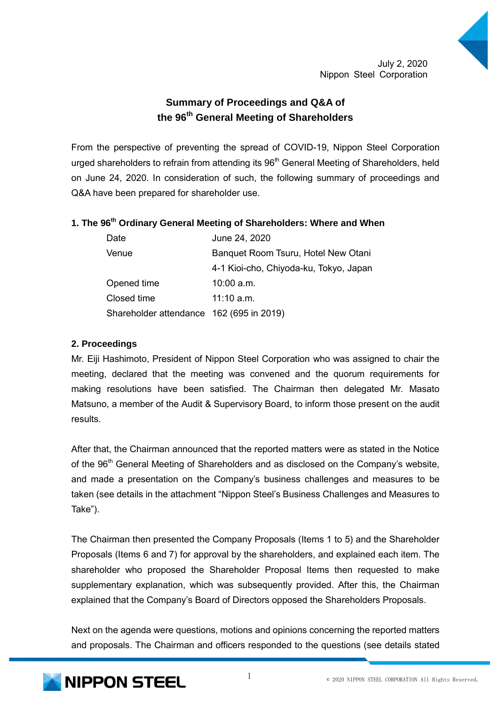# **Summary of Proceedings and Q&A of the 96th General Meeting of Shareholders**

From the perspective of preventing the spread of COVID-19, Nippon Steel Corporation urged shareholders to refrain from attending its  $96<sup>th</sup>$  General Meeting of Shareholders, held on June 24, 2020. In consideration of such, the following summary of proceedings and Q&A have been prepared for shareholder use.

## **1. The 96th Ordinary General Meeting of Shareholders: Where and When**

| Date                                     | June 24, 2020                          |
|------------------------------------------|----------------------------------------|
| Venue                                    | Banquet Room Tsuru, Hotel New Otani    |
|                                          | 4-1 Kioi-cho, Chiyoda-ku, Tokyo, Japan |
| Opened time                              | $10:00$ a.m.                           |
| Closed time                              | $11:10$ a.m.                           |
| Shareholder attendance 162 (695 in 2019) |                                        |

#### **2. Proceedings**

Mr. Eiji Hashimoto, President of Nippon Steel Corporation who was assigned to chair the meeting, declared that the meeting was convened and the quorum requirements for making resolutions have been satisfied. The Chairman then delegated Mr. Masato Matsuno, a member of the Audit & Supervisory Board, to inform those present on the audit results.

After that, the Chairman announced that the reported matters were as stated in the Notice of the 96<sup>th</sup> General Meeting of Shareholders and as disclosed on the Company's website, and made a presentation on the Company's business challenges and measures to be taken (see details in the attachment "Nippon Steel's Business Challenges and Measures to Take").

The Chairman then presented the Company Proposals (Items 1 to 5) and the Shareholder Proposals (Items 6 and 7) for approval by the shareholders, and explained each item. The shareholder who proposed the Shareholder Proposal Items then requested to make supplementary explanation, which was subsequently provided. After this, the Chairman explained that the Company's Board of Directors opposed the Shareholders Proposals.

Next on the agenda were questions, motions and opinions concerning the reported matters and proposals. The Chairman and officers responded to the questions (see details stated

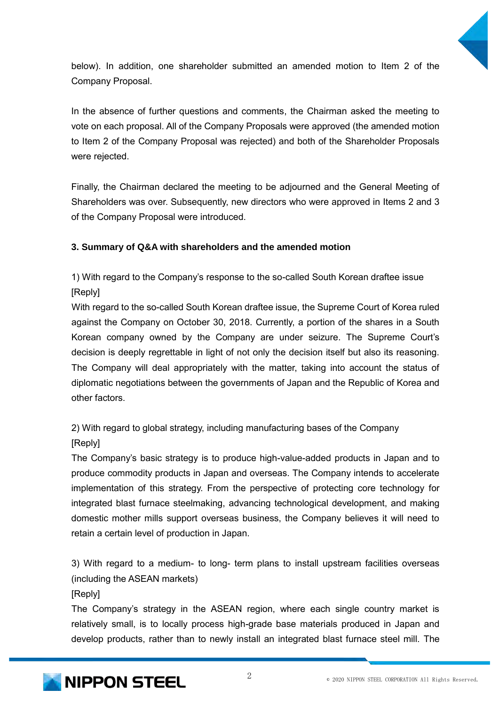

below). In addition, one shareholder submitted an amended motion to Item 2 of the Company Proposal.

In the absence of further questions and comments, the Chairman asked the meeting to vote on each proposal. All of the Company Proposals were approved (the amended motion to Item 2 of the Company Proposal was rejected) and both of the Shareholder Proposals were rejected.

Finally, the Chairman declared the meeting to be adjourned and the General Meeting of Shareholders was over. Subsequently, new directors who were approved in Items 2 and 3 of the Company Proposal were introduced.

# **3. Summary of Q&A with shareholders and the amended motion**

1) With regard to the Company's response to the so-called South Korean draftee issue [Reply]

With regard to the so-called South Korean draftee issue, the Supreme Court of Korea ruled against the Company on October 30, 2018. Currently, a portion of the shares in a South Korean company owned by the Company are under seizure. The Supreme Court's decision is deeply regrettable in light of not only the decision itself but also its reasoning. The Company will deal appropriately with the matter, taking into account the status of diplomatic negotiations between the governments of Japan and the Republic of Korea and other factors.

2) With regard to global strategy, including manufacturing bases of the Company [Reply]

The Company's basic strategy is to produce high-value-added products in Japan and to produce commodity products in Japan and overseas. The Company intends to accelerate implementation of this strategy. From the perspective of protecting core technology for integrated blast furnace steelmaking, advancing technological development, and making domestic mother mills support overseas business, the Company believes it will need to retain a certain level of production in Japan.

3) With regard to a medium- to long- term plans to install upstream facilities overseas (including the ASEAN markets)

[Reply]

The Company's strategy in the ASEAN region, where each single country market is relatively small, is to locally process high-grade base materials produced in Japan and develop products, rather than to newly install an integrated blast furnace steel mill. The